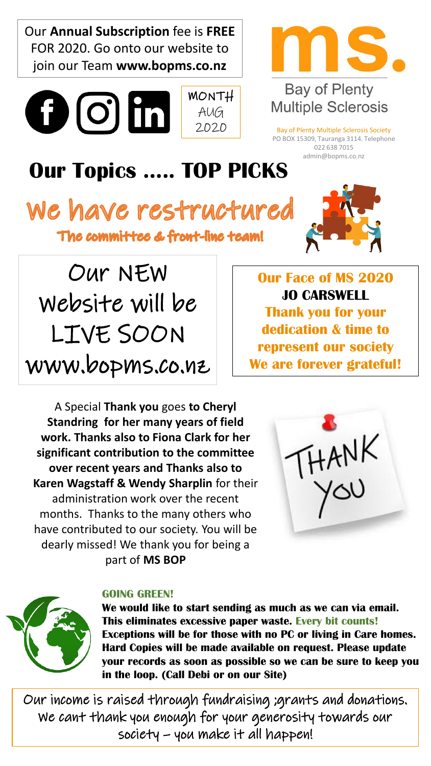Our **Annual Subscription** fee is **FREE** FOR 2020. Go onto our website to join our Team **www.bopms.co.nz**







## **Bay of Plenty Multiple Sclerosis**

Bay of Plenty Multiple Sclerosis Society PO BOX 15309, Tauranga 3114. Telephone 022 638 7015 admin@bopms.co.nz

## **Our Topics ….. TOP PICKS**

We have restructured The committee & front-line team!



Our NEW Website will be LIVE SOON www.bopms.co.nz

**Our Face of MS 2020 JO CARSWELL Thank you for your dedication & time to represent our society We are forever grateful!**

A Special **Thank you** goes **to Cheryl Standring for her many years of field work. Thanks also to Fiona Clark for her significant contribution to the committee over recent years and Thanks also to Karen Wagstaff & Wendy Sharplin** for their administration work over the recent months. Thanks to the many others who have contributed to our society. You will be dearly missed! We thank you for being a part of **MS BOP**





#### **GOING GREEN!**

**We would like to start sending as much as we can via email. This eliminates excessive paper waste. Every bit counts! Exceptions will be for those with no PC or living in Care homes. Hard Copies will be made available on request. Please update your records as soon as possible so we can be sure to keep you in the loop. (Call Debi or on our Site)** 

Our income is raised through fundraising ;grants and donations. We cant thank you enough for your generosity towards our society – you make it all happen!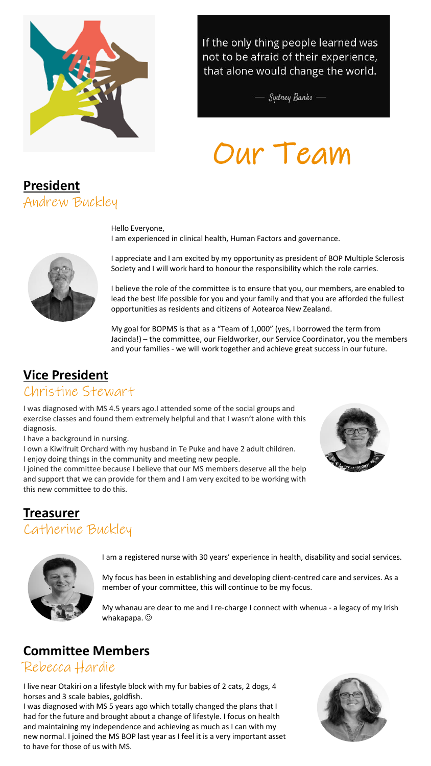

If the only thing people learned was not to be afraid of their experience, that alone would change the world.

- Sydney Banks -

# Our Team



Hello Everyone, I am experienced in clinical health, Human Factors and governance.



I appreciate and I am excited by my opportunity as president of BOP Multiple Sclerosis Society and I will work hard to honour the responsibility which the role carries.

I believe the role of the committee is to ensure that you, our members, are enabled to lead the best life possible for you and your family and that you are afforded the fullest opportunities as residents and citizens of Aotearoa New Zealand.

My goal for BOPMS is that as a "Team of 1,000" (yes, I borrowed the term from Jacinda!) – the committee, our Fieldworker, our Service Coordinator, you the members and your families - we will work together and achieve great success in our future.

## **Vice President**

#### Christine Stewart

I was diagnosed with MS 4.5 years ago.I attended some of the social groups and exercise classes and found them extremely helpful and that I wasn't alone with this diagnosis.

I have a background in nursing.

I own a Kiwifruit Orchard with my husband in Te Puke and have 2 adult children. I enjoy doing things in the community and meeting new people.

I joined the committee because I believe that our MS members deserve all the help and support that we can provide for them and I am very excited to be working with this new committee to do this.



#### **Treasurer**  Catherine Buckley



I am a registered nurse with 30 years' experience in health, disability and social services.

My focus has been in establishing and developing client-centred care and services. As a member of your committee, this will continue to be my focus.

My whanau are dear to me and I re-charge I connect with whenua - a legacy of my Irish whakapapa.  $\odot$ 

### **Committee Members**

#### Rebecca Hardie

I live near Otakiri on a lifestyle block with my fur babies of 2 cats, 2 dogs, 4 horses and 3 scale babies, goldfish.

I was diagnosed with MS 5 years ago which totally changed the plans that I had for the future and brought about a change of lifestyle. I focus on health and maintaining my independence and achieving as much as I can with my new normal. I joined the MS BOP last year as I feel it is a very important asset to have for those of us with MS.

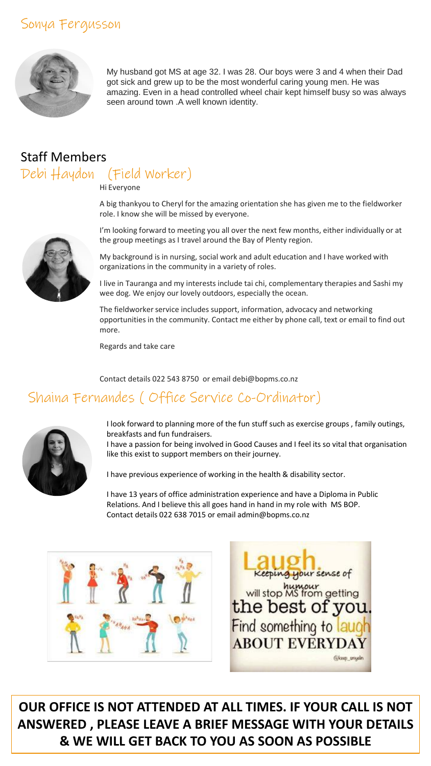### Sonya Fergusson



My husband got MS at age 32. I was 28. Our boys were 3 and 4 when their Dad got sick and grew up to be the most wonderful caring young men. He was amazing. Even in a head controlled wheel chair kept himself busy so was always seen around town .A well known identity.

## Staff Members Debi Haydon (Field Worker)

Hi Everyone

A big thankyou to Cheryl for the amazing orientation she has given me to the fieldworker role. I know she will be missed by everyone.

I'm looking forward to meeting you all over the next few months, either individually or at the group meetings as I travel around the Bay of Plenty region.

My background is in nursing, social work and adult education and I have worked with organizations in the community in a variety of roles.

I live in Tauranga and my interests include tai chi, complementary therapies and Sashi my wee dog. We enjoy our lovely outdoors, especially the ocean.

The fieldworker service includes support, information, advocacy and networking opportunities in the community. Contact me either by phone call, text or email to find out more.

Regards and take care

Contact details 022 543 8750 or email debi@bopms.co.nz

### Shaina Fernandes ( Office Service Co-Ordinator)



I look forward to planning more of the fun stuff such as exercise groups , family outings, breakfasts and fun fundraisers.

I have a passion for being involved in Good Causes and I feel its so vital that organisation like this exist to support members on their journey.

I have previous experience of working in the health & disability sector.

I have 13 years of office administration experience and have a Diploma in Public Relations. And I believe this all goes hand in hand in my role with MS BOP. Contact details 022 638 7015 or email admin@bopms.co.nz



Keeping your sense of will stop MS from getting<br>the best of you Find something to laugh **ABOUT EVERYDAY** @keep\_onyelr

**OUR OFFICE IS NOT ATTENDED AT ALL TIMES. IF YOUR CALL IS NOT ANSWERED , PLEASE LEAVE A BRIEF MESSAGE WITH YOUR DETAILS & WE WILL GET BACK TO YOU AS SOON AS POSSIBLE**